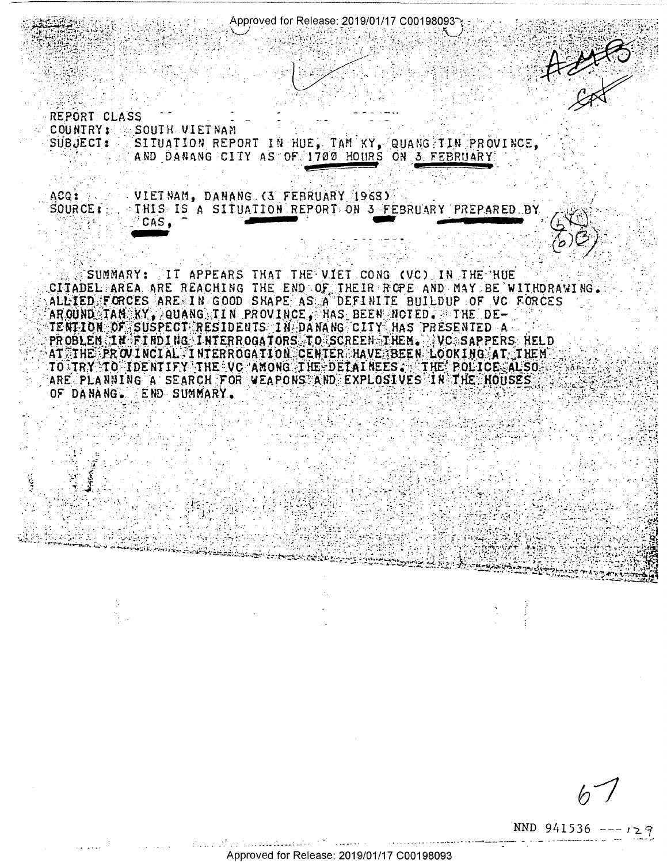Approved for Release: 2019/01/17 C00198093

RANG REPORT CLASS COUNTRY: SOUTH VIETNAM SITUATION REPORT IN HUE, TAM KY, QUANG TIN PROVINCE, SUBJECT: AND DANANG CITY AS OF 1700 HOURS ON 3 FEBRUARY

VIETNAM, DANANG (3 FEBRUARY 1968) acq: **SOURCE:** THIS IS A SITUATION REPORT ON 3 FEBRUARY PREPARED BY CAS.

IT APPEARS THAT THE VIET CONG (VC) IN THE NUE SUMMARY: CITADEL AREA ARE REACHING THE END OF THEIR ROPE AND MAY BE WITHDRAWING. ALLIED FORCES ARE IN GOOD SHAPE AS A DEFINITE BUILDUP OF VC FORCES AR OUND TAN KY, QUANG TIN PROVINCE, HAS BEEN NOTED. THE DE-TENTION OF SUSPECT RESIDENTS IN DANANG CITY HAS PRESENTED A PROBLEM IN FINDING INTERROGATORS TO SCREEN THEM. VC SAPPERS HELD AT THE PROVINCIAL INTERROGATION CENTER HAVE BEEN LOOKING AT THEM TO TRY TO IDENTIFY THE VC AMONG THE DETAINEES. THE POLICE ALSO<br>ARE PLANNING A SEARCH FOR WEAPONS AND EXPLOSIVES IN THE HOUSES OF DANANG. END SUMMARY.

NND 941536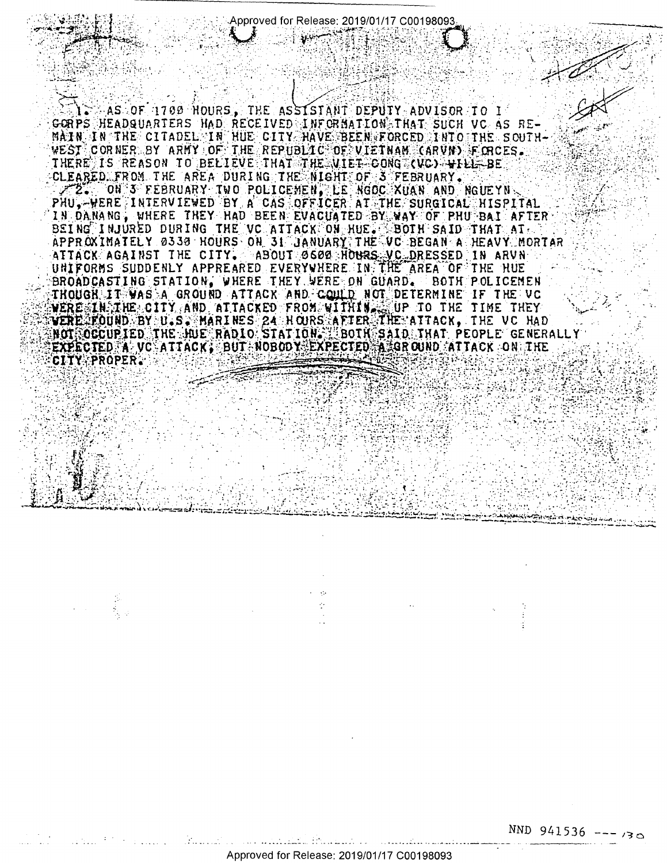Approved for Release: 2019/01/17 C00198093

MAS OF 1700 NOURS, THE ASSISTANT DEPUTY ADVISOR TO I GORPS HEADQUARTERS HAD RECEIVED INFORMATION THAT SUCH VC AS RE-MAIN IN THE CITADEL IN HUE CITY HAVE BEEN FORCED INTO THE SOUTH-WEST CORNER BY ARMY OF THE REPUBLIC OF VIETNAM CARVIN FORCES. THERE IS REASON TO BELIEVE THAT THE VIET CONG (VC) YILL BE CLEARED FROM THE AREA DURING THE NIGHT OF STEERUARY. ZZ, ON 3 FEBRUARY INO POLICEMEN, LE NGOC XUAN AND NGUEYN<br>PHU, WERE INTERVIEWED BY A CAS OFFICER AT THE SURGICAL HISPITAL IN DANANG, WHERE THEY HAD BEEN EVACUATED BY WAY OF PHUSBAI AFTER BEING INJURED DURING THE VC ATTACK ON HUE. BOTH SAID THAT AT APPROXIMATELY 0330 HOURS ON 31 JANUARY THE VC BEGAN A HEAVY MORTAR ATTACK AGAINST THE CITY. ABOUT 6600 HOURS VC DRESSED IN ARVN UNIFORMS SUDDENLY APPREARED EVERYWHERE IN THE AREA OF THE HUE BROADCASTING STATION, WHERE THEY WERE ON GUARD. BOTH POLICEMEN THOUGH IT WAS A GROUND ATTACK AND COULD NOT DETERMINE IF THE VC VERE IN THE CITY AND ATTACKED FROM WITHIN (UP TO THE TIME THEY VERE FOUND BY U.S. MARINES 24 HOURS AFTER THE ATTACK, THE VC HAD<br>NOT OCCUPIED THE HUE RADIO STATION. SOIN SAID THAT PEOPLE GENERALLY<br>EXPECTED A VC ATTACK, BUT NOBODY EXPECTED A GROUND ATTACK ON THE CITY PROPER.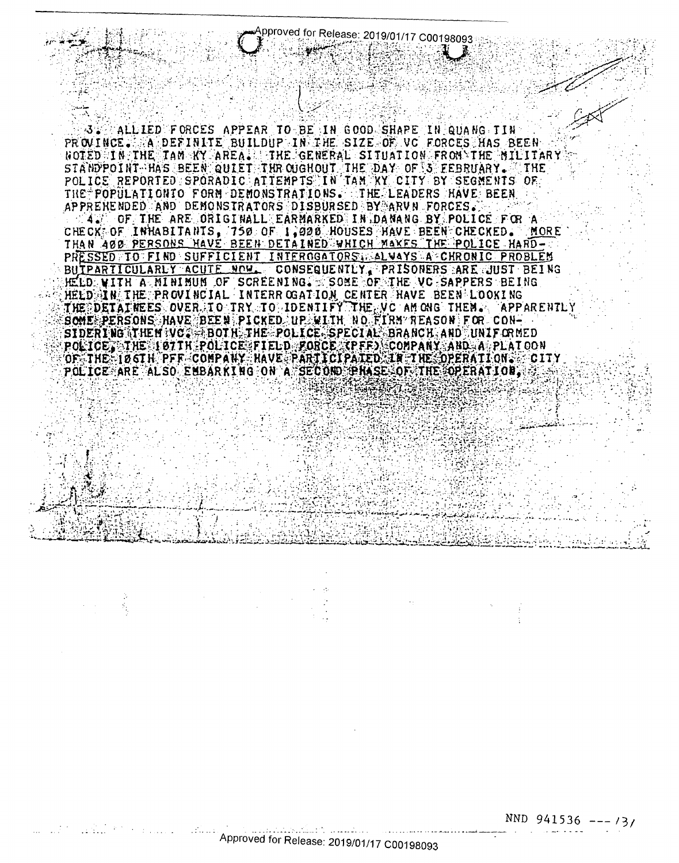AALLIED FORCES APPEAR TO BE IN GOOD SHAPE IN GUANG TIN PROVINCE. A DEFINITE BUILDUP IN THE SIZE OF VC FORCES HAS BEEN NOTED IN THE TAN KY AREA. THE GENERAL SITUATION FRONSTHE MILITARY STANDPOINT HAS BEEN QUIET THROUGHOUT THE DAY OF STEEBRUARY. THE POLICE REPORTED SPORADIC ATTEMPTS IN TAM KY CITY BY SEGMENTS OF THE POPULATION TO FORM DEMONSTRATIONS. THE LEADERS HAVE BEEN APPRENENDED AND DEMONSTRATORS DISBURSED BY ARVN FORCES. 4. OF THE ARE ORIGINALL EARMARKED IN DANANG BY POLICE FOR A CHECK OF INHABITANTS, 750 OF 1,000 HOUSES HAVE BEEN CHECKED. MORE THAN 400 PERSONS HAVE BEEN DETAINED WHICH MAKES THE POLICE HARD-PRESSED TO FIND SUFFICIENT INTEROGATORS ALWAYS A CHRONIC PROBLEM BUTPARTICULARLY ACUTE NOW CONSEQUENTLY PRISONERS ARE JUST BEING HELD WITH A MINIMUM OF SCREENING. SOME OF THE VC SAPPERS BEING HEED AIN THE PROVINCIAL INTERROGATION CENTER HAVE BEEN LOOKING THE DETAINEES OVER TO TRY TO IDENTIFY THE VC AM ONG THEM. APPARENTLY BOWE PERSONS HAVE BEEN PICKED UP WITH NO FIRM REASON FOR CON-SIDERING THEM VO. BOTH THE POLICE SPECIAL BRANCH AND UNIFORMED POLICE THE 197TH POLICE FIELD FORCE (PFF) COMPANY AND A PLATOON OF THE 106TH PFF COMPANY HAVE PARTICIPATED IN THE OPERATIONS CITY

POLICE ARE ALSO EMBARKING ON A SECOND PHASE OF THE OPERATION.

Approved for Release: 2019/01/17 C00198093

NND  $941536$  --- /